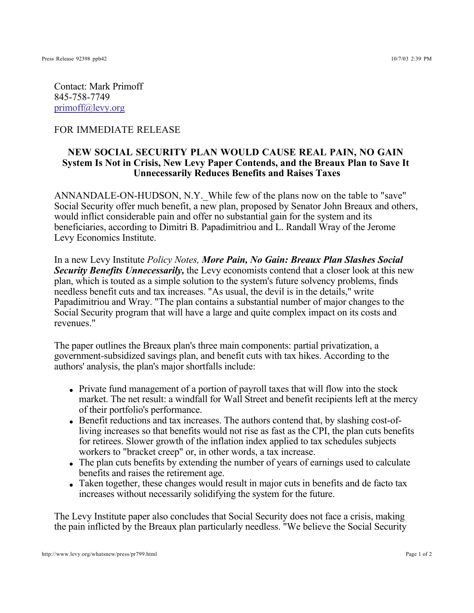Contact: Mark Primoff 845-758-7749 primoff@levy.org

## FOR IMMEDIATE RELEASE

## **NEW SOCIAL SECURITY PLAN WOULD CAUSE REAL PAIN, NO GAIN System Is Not in Crisis, New Levy Paper Contends, and the Breaux Plan to Save It Unnecessarily Reduces Benefits and Raises Taxes**

ANNANDALE-ON-HUDSON, N.Y. While few of the plans now on the table to "save" Social Security offer much benefit, a new plan, proposed by Senator John Breaux and others, would inflict considerable pain and offer no substantial gain for the system and its beneficiaries, according to Dimitri B. Papadimitriou and L. Randall Wray of the Jerome Levy Economics Institute.

In a new Levy Institute *Policy Notes, More Pain, No Gain: Breaux Plan Slashes Social*  **Security Benefits Unnecessarily, the Levy economists contend that a closer look at this new** plan, which is touted as a simple solution to the system's future solvency problems, finds needless benefit cuts and tax increases. "As usual, the devil is in the details," write Papadimitriou and Wray. "The plan contains a substantial number of major changes to the Social Security program that will have a large and quite complex impact on its costs and revenues."

The paper outlines the Breaux plan's three main components: partial privatization, a government-subsidized savings plan, and benefit cuts with tax hikes. According to the authors' analysis, the plan's major shortfalls include:

- Private fund management of a portion of payroll taxes that will flow into the stock market. The net result: a windfall for Wall Street and benefit recipients left at the mercy of their portfolio's performance.
- Benefit reductions and tax increases. The authors contend that, by slashing cost-ofliving increases so that benefits would not rise as fast as the CPI, the plan cuts benefits for retirees. Slower growth of the inflation index applied to tax schedules subjects workers to "bracket creep" or, in other words, a tax increase.
- The plan cuts benefits by extending the number of years of earnings used to calculate benefits and raises the retirement age.
- Taken together, these changes would result in major cuts in benefits and de facto tax increases without necessarily solidifying the system for the future.

The Levy Institute paper also concludes that Social Security does not face a crisis, making the pain inflicted by the Breaux plan particularly needless. "We believe the Social Security